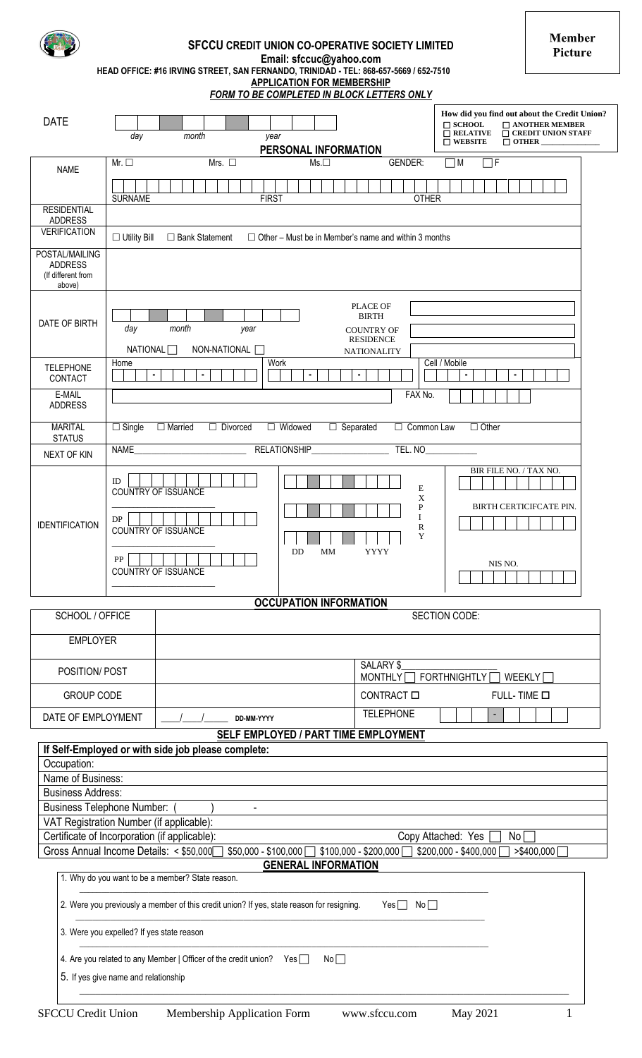| <b>SFCCU CREDIT UNION CO-OPERATIVE SOCIETY LIMITED</b>                                |
|---------------------------------------------------------------------------------------|
| Email: sfccuc@yahoo.com                                                               |
| HEAD OFFICE: #16 IRVING STREET, SAN FERNANDO, TRINIDAD - TEL: 868-657-5669 / 652-7510 |
| <b>APPLICATION FOR MEMBERSHIP</b>                                                     |
|                                                                                       |

**Member** Picture

|                                                                                                                   |                                                                                                                                                                |                                                                                        | FORM TO BE COMPLETED IN BLOCK LETTERS ONLY                  |                                                     |                                                                                                                                                                                |  |
|-------------------------------------------------------------------------------------------------------------------|----------------------------------------------------------------------------------------------------------------------------------------------------------------|----------------------------------------------------------------------------------------|-------------------------------------------------------------|-----------------------------------------------------|--------------------------------------------------------------------------------------------------------------------------------------------------------------------------------|--|
| <b>DATE</b>                                                                                                       | day                                                                                                                                                            | month<br>year                                                                          | PERSONAL INFORMATION                                        |                                                     | How did you find out about the Credit Union?<br>$\Box$ SCHOOL<br>$\Box$ ANOTHER MEMBER<br>$\Box$ RELATIVE<br>$\bar{\Box}$ CREDIT UNION STAFF<br>$\Box$ WEBSITE<br>$\Box$ OTHER |  |
| <b>NAME</b>                                                                                                       | Mr. $\square$<br><b>SURNAME</b>                                                                                                                                | Mrs. $\square$<br><b>FIRST</b>                                                         | $Ms.\Box$                                                   | <b>GENDER:</b><br><b>OTHER</b>                      | ٦F<br>ПM                                                                                                                                                                       |  |
| <b>RESIDENTIAL</b><br><b>ADDRESS</b>                                                                              |                                                                                                                                                                |                                                                                        |                                                             |                                                     |                                                                                                                                                                                |  |
| <b>VERIFICATION</b>                                                                                               | $\Box$ Utility Bill                                                                                                                                            | $\Box$ Bank Statement                                                                  | $\Box$ Other – Must be in Member's name and within 3 months |                                                     |                                                                                                                                                                                |  |
| POSTAL/MAILING<br><b>ADDRESS</b><br>(If different from<br>above)                                                  |                                                                                                                                                                |                                                                                        |                                                             |                                                     |                                                                                                                                                                                |  |
| DATE OF BIRTH                                                                                                     | <b>PLACE OF</b><br><b>BIRTH</b><br>day<br>month<br>year<br><b>COUNTRY OF</b><br><b>RESIDENCE</b><br>NATIONAL <sup></sup><br>NON-NATIONAL<br><b>NATIONALITY</b> |                                                                                        |                                                             |                                                     |                                                                                                                                                                                |  |
| <b>TELEPHONE</b><br>CONTACT                                                                                       | Home<br>$\blacksquare$                                                                                                                                         |                                                                                        | Work                                                        | ×                                                   | Cell / Mobile                                                                                                                                                                  |  |
| E-MAIL<br><b>ADDRESS</b>                                                                                          | FAX No.                                                                                                                                                        |                                                                                        |                                                             |                                                     |                                                                                                                                                                                |  |
| <b>MARITAL</b><br><b>STATUS</b>                                                                                   | $\Box$ Single                                                                                                                                                  | $\Box$ Married<br>$\Box$ Divorced                                                      | □ Widowed<br>$\Box$ Separated                               | $\Box$ Common Law                                   | $\Box$ Other                                                                                                                                                                   |  |
| NEXT OF KIN                                                                                                       | <b>NAME</b>                                                                                                                                                    |                                                                                        | RELATIONSHIP                                                | TEL. NO                                             |                                                                                                                                                                                |  |
| <b>IDENTIFICATION</b>                                                                                             | ID<br>DP<br>${\rm PP}$                                                                                                                                         | <b>COUNTRY OF ISSUANCE</b><br><b>COUNTRY OF ISSUANCE</b><br><b>COUNTRY OF ISSUANCE</b> | DD<br>MM                                                    | $\mathbf E$<br>X<br>P<br>I<br>R<br>Y<br><b>YYYY</b> | BIR FILE NO. / TAX NO.<br><b>BIRTH CERTICIFCATE PIN.</b><br>NIS NO.                                                                                                            |  |
|                                                                                                                   |                                                                                                                                                                |                                                                                        | <b>OCCUPATION INFORMATION</b>                               |                                                     |                                                                                                                                                                                |  |
| SCHOOL / OFFICE                                                                                                   |                                                                                                                                                                |                                                                                        |                                                             |                                                     | SECTION CODE:                                                                                                                                                                  |  |
| <b>EMPLOYER</b>                                                                                                   |                                                                                                                                                                |                                                                                        |                                                             |                                                     |                                                                                                                                                                                |  |
| POSITION/ POST                                                                                                    |                                                                                                                                                                |                                                                                        |                                                             | SALARY \$<br><b>MONTHLY</b>                         | <b>FORTHNIGHTLY</b><br>WEEKLY                                                                                                                                                  |  |
| <b>GROUP CODE</b>                                                                                                 |                                                                                                                                                                |                                                                                        |                                                             | CONTRACT O<br>FULL-TIME O                           |                                                                                                                                                                                |  |
| DATE OF EMPLOYMENT                                                                                                |                                                                                                                                                                | DD-MM-YYYY                                                                             |                                                             | <b>TELEPHONE</b>                                    |                                                                                                                                                                                |  |
|                                                                                                                   |                                                                                                                                                                | If Self-Employed or with side job please complete:                                     | SELF EMPLOYED / PART TIME EMPLOYMENT                        |                                                     |                                                                                                                                                                                |  |
| Occupation:                                                                                                       |                                                                                                                                                                |                                                                                        |                                                             |                                                     |                                                                                                                                                                                |  |
| Name of Business:                                                                                                 |                                                                                                                                                                |                                                                                        |                                                             |                                                     |                                                                                                                                                                                |  |
| <b>Business Address:</b>                                                                                          |                                                                                                                                                                |                                                                                        |                                                             |                                                     |                                                                                                                                                                                |  |
| <b>Business Telephone Number:</b><br>VAT Registration Number (if applicable):                                     |                                                                                                                                                                |                                                                                        |                                                             |                                                     |                                                                                                                                                                                |  |
| Certificate of Incorporation (if applicable):                                                                     |                                                                                                                                                                |                                                                                        |                                                             |                                                     | Copy Attached: Yes<br>No                                                                                                                                                       |  |
| Gross Annual Income Details: < \$50,000                                                                           |                                                                                                                                                                | $$50,000 - $100,000$                                                                   |                                                             | $$100,000 - $200,000$                               | \$200,000 - \$400,000<br>>\$400,000                                                                                                                                            |  |
| <b>GENERAL INFORMATION</b><br>1. Why do you want to be a member? State reason.                                    |                                                                                                                                                                |                                                                                        |                                                             |                                                     |                                                                                                                                                                                |  |
| 2. Were you previously a member of this credit union? If yes, state reason for resigning.<br>Yes $\Box$ No $\Box$ |                                                                                                                                                                |                                                                                        |                                                             |                                                     |                                                                                                                                                                                |  |
|                                                                                                                   |                                                                                                                                                                | 3. Were you expelled? If yes state reason                                              |                                                             |                                                     |                                                                                                                                                                                |  |
| 4. Are you related to any Member   Officer of the credit union? Yes<br>No<br>5. If yes give name and relationship |                                                                                                                                                                |                                                                                        |                                                             |                                                     |                                                                                                                                                                                |  |
| <b>SFCCU Credit Union</b>                                                                                         |                                                                                                                                                                | Membership Application Form                                                            |                                                             | www.sfccu.com                                       | May 2021<br>1                                                                                                                                                                  |  |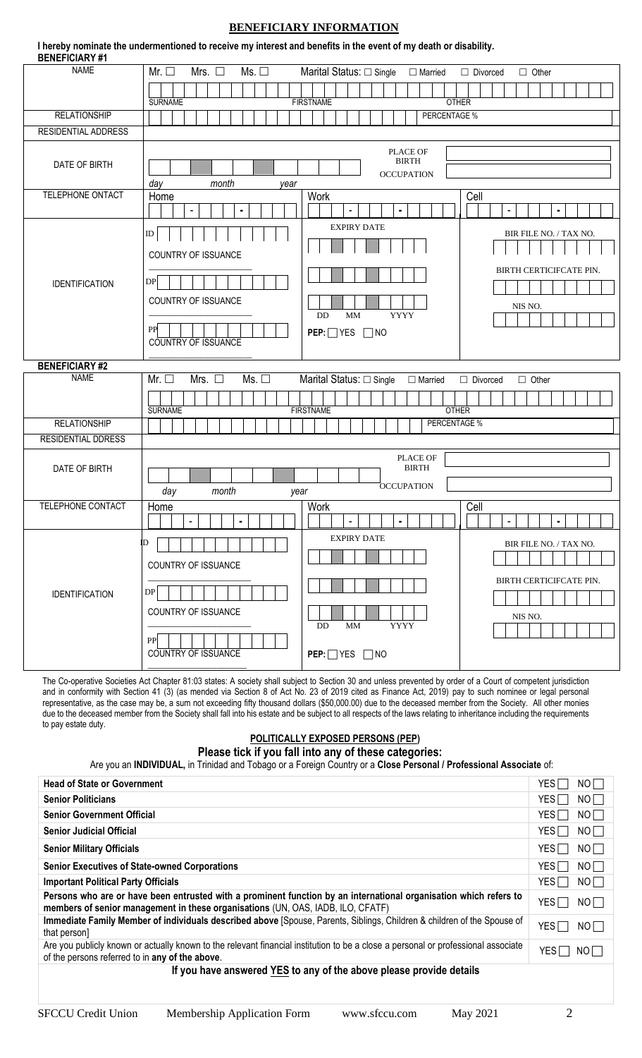## **BENEFICIARY INFORMATION**

| I hereby nominate the undermentioned to receive my interest and benefits in the event of my death or disability.<br><b>BENEFICIARY #1</b> |                                          |                                                 |                                 |  |  |  |
|-------------------------------------------------------------------------------------------------------------------------------------------|------------------------------------------|-------------------------------------------------|---------------------------------|--|--|--|
| <b>NAME</b>                                                                                                                               | Mrs. $\square$<br>Ms.<br>Mr. $\square$   | Marital Status: □ Single<br>$\Box$ Married      | $\Box$ Divorced<br>$\Box$ Other |  |  |  |
|                                                                                                                                           |                                          |                                                 |                                 |  |  |  |
|                                                                                                                                           | <b>SURNAME</b>                           | <b>OTHER</b><br><b>FIRSTNAME</b>                |                                 |  |  |  |
| <b>RELATIONSHIP</b>                                                                                                                       |                                          | PERCENTAGE %                                    |                                 |  |  |  |
| <b>RESIDENTIAL ADDRESS</b>                                                                                                                |                                          |                                                 |                                 |  |  |  |
|                                                                                                                                           |                                          | PLACE OF                                        |                                 |  |  |  |
| DATE OF BIRTH                                                                                                                             |                                          | <b>BIRTH</b>                                    |                                 |  |  |  |
|                                                                                                                                           | month                                    | <b>OCCUPATION</b>                               |                                 |  |  |  |
| TELEPHONE ONTACT                                                                                                                          | day<br>year<br>Home                      | Work                                            | Cell                            |  |  |  |
|                                                                                                                                           | ٠                                        | $\blacksquare$                                  | ٠                               |  |  |  |
|                                                                                                                                           |                                          |                                                 |                                 |  |  |  |
|                                                                                                                                           | ID                                       | <b>EXPIRY DATE</b>                              | BIR FILE NO. / TAX NO.          |  |  |  |
|                                                                                                                                           | COUNTRY OF ISSUANCE                      |                                                 |                                 |  |  |  |
|                                                                                                                                           |                                          |                                                 | BIRTH CERTICIFCATE PIN.         |  |  |  |
| <b>IDENTIFICATION</b>                                                                                                                     | ${\rm DP}$                               |                                                 |                                 |  |  |  |
|                                                                                                                                           |                                          |                                                 |                                 |  |  |  |
|                                                                                                                                           | COUNTRY OF ISSUANCE                      |                                                 | NIS NO.                         |  |  |  |
|                                                                                                                                           |                                          | <b>YYYY</b><br>DD<br>MM                         |                                 |  |  |  |
|                                                                                                                                           | ${\bf PP}$<br><b>COUNTRY OF ISSUANCE</b> | $PEP: \Box YES \Box NO$                         |                                 |  |  |  |
|                                                                                                                                           |                                          |                                                 |                                 |  |  |  |
| <b>BENEFICIARY #2</b>                                                                                                                     |                                          |                                                 |                                 |  |  |  |
|                                                                                                                                           |                                          |                                                 |                                 |  |  |  |
| <b>NAME</b>                                                                                                                               | Mrs. $\square$<br>Ms.<br>Mr. $\square$   | Marital Status: $\Box$ Single<br>$\Box$ Married | $\Box$ Other<br>$\Box$ Divorced |  |  |  |
|                                                                                                                                           |                                          |                                                 |                                 |  |  |  |
|                                                                                                                                           | <b>SURNAME</b>                           | <b>FIRSTNAME</b><br><b>OTHER</b>                |                                 |  |  |  |
| <b>RELATIONSHIP</b>                                                                                                                       |                                          | PERCENTAGE %                                    |                                 |  |  |  |
| <b>RESIDENTIAL DDRESS</b>                                                                                                                 |                                          |                                                 |                                 |  |  |  |
|                                                                                                                                           |                                          | PLACE OF                                        |                                 |  |  |  |
| DATE OF BIRTH                                                                                                                             |                                          | <b>BIRTH</b>                                    |                                 |  |  |  |
|                                                                                                                                           |                                          | <b>OCCUPATION</b>                               |                                 |  |  |  |
|                                                                                                                                           | month<br>day<br>year                     |                                                 |                                 |  |  |  |
| <b>TELEPHONE CONTACT</b>                                                                                                                  | Home                                     | <b>Work</b>                                     | Cell                            |  |  |  |
|                                                                                                                                           | ٠                                        | ٠<br>٠                                          |                                 |  |  |  |
|                                                                                                                                           | ID                                       | <b>EXPIRY DATE</b>                              | BIR FILE NO. / TAX NO.          |  |  |  |
|                                                                                                                                           |                                          |                                                 |                                 |  |  |  |
|                                                                                                                                           | COUNTRY OF ISSUANCE                      |                                                 |                                 |  |  |  |
|                                                                                                                                           | DP                                       |                                                 | BIRTH CERTICIFCATE PIN.         |  |  |  |
| <b>IDENTIFICATION</b>                                                                                                                     |                                          |                                                 |                                 |  |  |  |
|                                                                                                                                           | <b>COUNTRY OF ISSUANCE</b>               |                                                 | NIS NO.                         |  |  |  |
|                                                                                                                                           |                                          | MM<br><b>YYYY</b><br><b>DD</b>                  |                                 |  |  |  |
|                                                                                                                                           | PP<br><b>COUNTRY OF ISSUANCE</b>         | $PEP: \square YES \square NO$                   |                                 |  |  |  |

The Co-operative Societies Act Chapter 81:03 states: A society shall subject to Section 30 and unless prevented by order of a Court of competent jurisdiction and in conformity with Section 41 (3) (as mended via Section 8 of Act No. 23 of 2019 cited as Finance Act, 2019) pay to such nominee or legal personal representative, as the case may be, a sum not exceeding fifty thousand dollars (\$50,000.00) due to the deceased member from the Society. All other monies due to the deceased member from the Society shall fall into his estate and be subject to all respects of the laws relating to inheritance including the requirements to pay estate duty.

## **POLITICALLY EXPOSED PERSONS (PEP)**

## **Please tick if you fall into any of these categories:**

Are you an **INDIVIDUAL,** in Trinidad and Tobago or a Foreign Country or a **Close Personal / Professional Associate** of:

| <b>Head of State or Government</b>                                                                                                                                                                   | YES I<br>NOT           |
|------------------------------------------------------------------------------------------------------------------------------------------------------------------------------------------------------|------------------------|
| <b>Senior Politicians</b>                                                                                                                                                                            | NOT<br>YES             |
| <b>Senior Government Official</b>                                                                                                                                                                    | NO<br>YES <sup>[</sup> |
| <b>Senior Judicial Official</b>                                                                                                                                                                      | NOT<br>YES [           |
| <b>Senior Military Officials</b>                                                                                                                                                                     | YES <sup>[</sup><br>NO |
| <b>Senior Executives of State-owned Corporations</b>                                                                                                                                                 | NOT<br>YES I           |
| <b>Important Political Party Officials</b>                                                                                                                                                           | NO<br>YESI             |
| Persons who are or have been entrusted with a prominent function by an international organisation which refers to<br>members of senior management in these organisations (UN, OAS, IADB, ILO, CFATF) | NO<br>YES I            |
| Immediate Family Member of individuals described above [Spouse, Parents, Siblings, Children & children of the Spouse of<br>that person]                                                              | YES $\Box$<br>NOT      |
| Are you publicly known or actually known to the relevant financial institution to be a close a personal or professional associate<br>of the persons referred to in any of the above.                 | NO<br>YES              |
| If you have answered YES to any of the above please provide details                                                                                                                                  |                        |